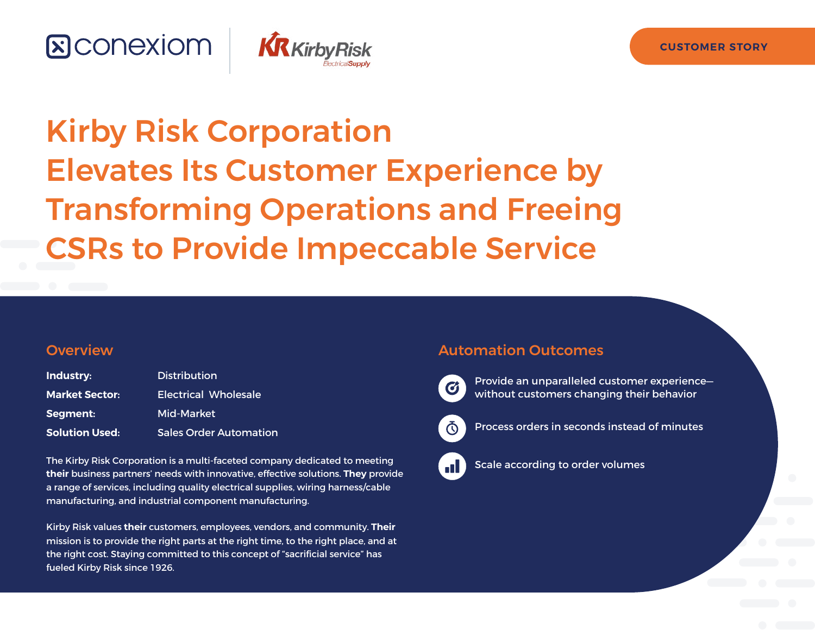

# Kirby Risk Corporation Elevates Its Customer Experience by Transforming Operations and Freeing CSRs to Provide Impeccable Service

#### **Overview**

| Industry:             | <b>Distribution</b>           |
|-----------------------|-------------------------------|
| <b>Market Sector:</b> | Electrical Wholesale          |
| Segment:              | Mid-Market                    |
| <b>Solution Used:</b> | <b>Sales Order Automation</b> |

The Kirby Risk Corporation is a multi-faceted company dedicated to meeting **their** business partners' needs with innovative, effective solutions. **They** provide a range of services, including quality electrical supplies, wiring harness/cable manufacturing, and industrial component manufacturing.

Kirby Risk values **their** customers, employees, vendors, and community. **Their** mission is to provide the right parts at the right time, to the right place, and at the right cost. Staying committed to this concept of "sacrificial service" has fueled Kirby Risk since 1926.

#### Automation Outcomes



Provide an unparalleled customer experience without customers changing their behavior



Process orders in seconds instead of minutes



Scale according to order volumes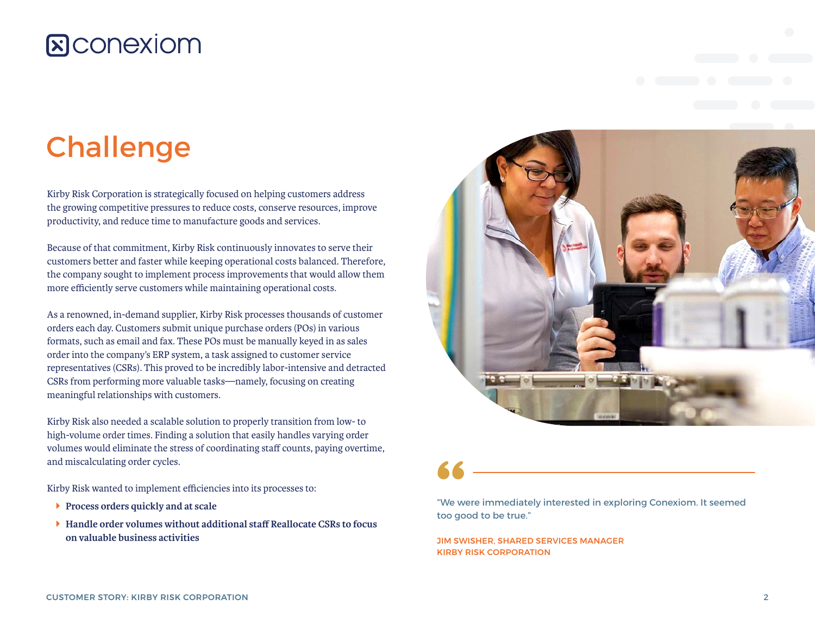## **R**CONEXIOM

# **Challenge**

Kirby Risk Corporation is strategically focused on helping customers address the growing competitive pressures to reduce costs, conserve resources, improve productivity, and reduce time to manufacture goods and services.

Because of that commitment, Kirby Risk continuously innovates to serve their customers better and faster while keeping operational costs balanced. Therefore, the company sought to implement process improvements that would allow them more efficiently serve customers while maintaining operational costs.

As a renowned, in-demand supplier, Kirby Risk processes thousands of customer orders each day. Customers submit unique purchase orders (POs) in various formats, such as email and fax. These POs must be manually keyed in as sales order into the company's ERP system, a task assigned to customer service representatives (CSRs). This proved to be incredibly labor-intensive and detracted CSRs from performing more valuable tasks—namely, focusing on creating meaningful relationships with customers.

Kirby Risk also needed a scalable solution to properly transition from low- to high-volume order times. Finding a solution that easily handles varying order volumes would eliminate the stress of coordinating staff counts, paying overtime, and miscalculating order cycles.

Kirby Risk wanted to implement efficiencies into its processes to:

- **Process orders quickly and at scale**
- **▶ Handle order volumes without additional staff Reallocate CSRs to focus on valuable business activities**



"We were immediately interested in exploring Conexiom. It seemed too good to be true."

JIM SWISHER, SHARED SERVICES MANAGER KIRBY RISK CORPORATION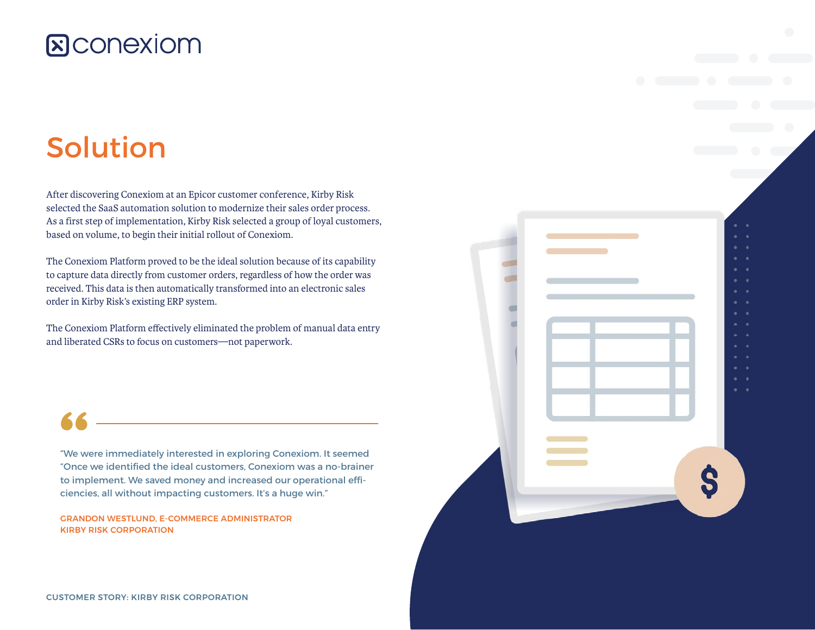## **E**CONEXIOM

# Solution

After discovering Conexiom at an Epicor customer conference, Kirby Risk selected the SaaS automation solution to modernize their sales order process. As a first step of implementation, Kirby Risk selected a group of loyal customers, based on volume, to begin their initial rollout of Conexiom.

The Conexiom Platform proved to be the ideal solution because of its capability to capture data directly from customer orders, regardless of how the order was received. This data is then automatically transformed into an electronic sales order in Kirby Risk's existing ERP system.

The Conexiom Platform effectively eliminated the problem of manual data entry and liberated CSRs to focus on customers—not paperwork.

"We were immediately interested in exploring Conexiom. It seemed "Once we identified the ideal customers, Conexiom was a no-brainer to implement. We saved money and increased our operational efficiencies, all without impacting customers. It's a huge win."

GRANDON WESTLUND, E-COMMERCE ADMINISTRATOR KIRBY RISK CORPORATION

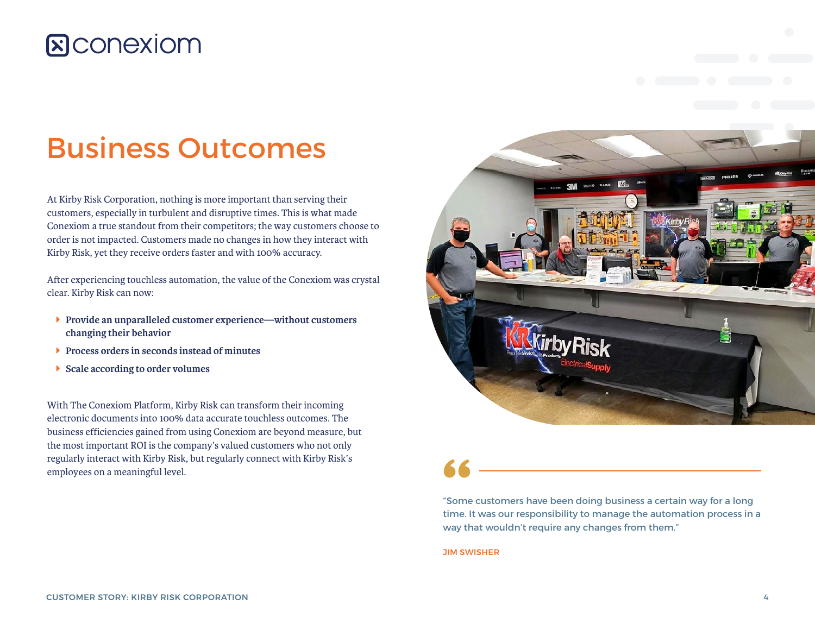## **ECONEXIOM**

## Business Outcomes

At Kirby Risk Corporation, nothing is more important than serving their customers, especially in turbulent and disruptive times. This is what made Conexiom a true standout from their competitors; the way customers choose to order is not impacted. Customers made no changes in how they interact with Kirby Risk, yet they receive orders faster and with 100% accuracy.

After experiencing touchless automation, the value of the Conexiom was crystal clear. Kirby Risk can now:

- **Provide an unparalleled customer experience—without customers changing their behavior**
- **Process orders in seconds instead of minutes**
- Î **Scale according to order volumes**

With The Conexiom Platform, Kirby Risk can transform their incoming electronic documents into 100% data accurate touchless outcomes. The business efficiencies gained from using Conexiom are beyond measure, but the most important ROI is the company's valued customers who not only regularly interact with Kirby Risk, but regularly connect with Kirby Risk's employees on a meaningful level.



#### 66

"Some customers have been doing business a certain way for a long time. It was our responsibility to manage the automation process in a way that wouldn't require any changes from them."

JIM SWISHER